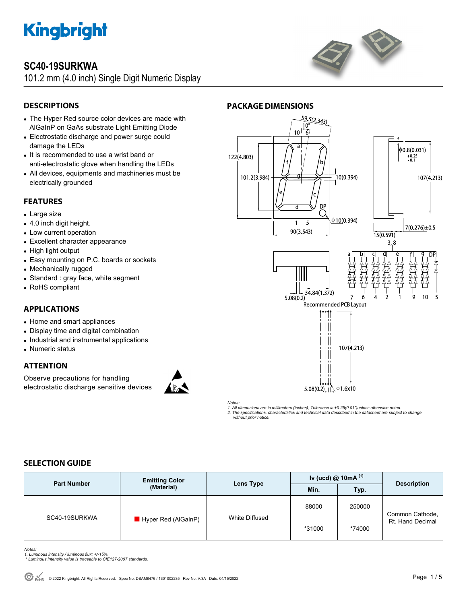

## **SC40-19SURKWA**

101.2 mm (4.0 inch) Single Digit Numeric Display



## **DESCRIPTIONS**

- The Hyper Red source color devices are made with AlGaInP on GaAs substrate Light Emitting Diode
- Electrostatic discharge and power surge could damage the LEDs
- It is recommended to use a wrist band or anti-electrostatic glove when handling the LEDs
- All devices, equipments and machineries must be electrically grounded

## **FEATURES**

- Large size
- 4.0 inch digit height.
- Low current operation
- Excellent character appearance
- High light output
- Easy mounting on P.C. boards or sockets
- Mechanically rugged
- Standard : gray face, white segment
- RoHS compliant

## **APPLICATIONS**

- Home and smart appliances
- Display time and digital combination
- Industrial and instrumental applications
- Numeric status

## **ATTENTION**

Observe precautions for handling electrostatic discharge sensitive devices





*Notes: 1. All dimensions are in millimeters (inches), Tolerance is ±0.25(0.01")unless otherwise noted. 2. The specifications, characteristics and technical data described in the datasheet are subject to change without prior notice.* 

## **SELECTION GUIDE**

| <b>Part Number</b> | <b>Emitting Color</b><br>(Material) | Lens Type      | Iv (ucd) $@$ 10mA $^{[1]}$ |        | <b>Description</b>                  |
|--------------------|-------------------------------------|----------------|----------------------------|--------|-------------------------------------|
|                    |                                     |                | Min.                       | Typ.   |                                     |
| SC40-19SURKWA      | Hyper Red (AlGaInP)                 | White Diffused | 88000                      | 250000 | Common Cathode,<br>Rt. Hand Decimal |
|                    |                                     |                | *31000                     | *74000 |                                     |

*Notes:* 

- *1. Luminous intensity / luminous flux: +/-15%. \* Luminous intensity value is traceable to CIE127-2007 standards.*
-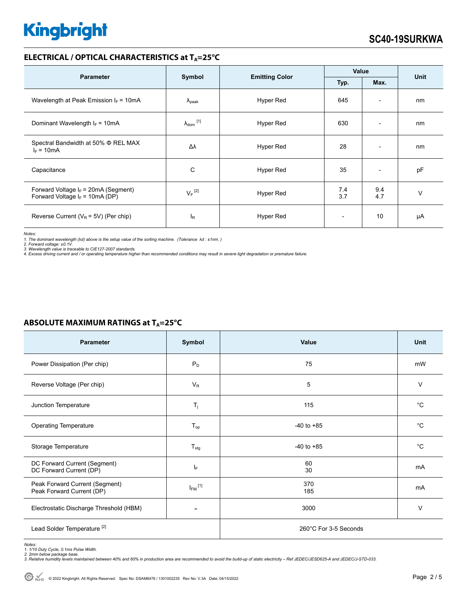## **ELECTRICAL / OPTICAL CHARACTERISTICS at T<sub>A</sub>=25°C**

|                                                                             |                                                 |           | Value                    |                          |        |
|-----------------------------------------------------------------------------|-------------------------------------------------|-----------|--------------------------|--------------------------|--------|
| <b>Parameter</b>                                                            | Symbol<br><b>Emitting Color</b><br>Typ.<br>Max. |           | <b>Unit</b>              |                          |        |
| Wavelength at Peak Emission $I_F = 10mA$                                    | $\lambda_{\rm peak}$                            | Hyper Red | 645                      | $\overline{\phantom{a}}$ | nm     |
| Dominant Wavelength $I_F = 10mA$                                            | $\lambda_{\mathsf{dom}}$ [1]                    | Hyper Red | 630                      | $\overline{\phantom{0}}$ | nm     |
| Spectral Bandwidth at 50% Φ REL MAX<br>$I_F = 10mA$                         | Δλ                                              | Hyper Red | 28                       | $\overline{\phantom{0}}$ | nm     |
| Capacitance                                                                 | C                                               | Hyper Red | 35                       | $\overline{\phantom{a}}$ | pF     |
| Forward Voltage $I_F$ = 20mA (Segment)<br>Forward Voltage $I_F$ = 10mA (DP) | $V_F$ <sup>[2]</sup>                            | Hyper Red | 7.4<br>3.7               | 9.4<br>4.7               | $\vee$ |
| Reverse Current ( $V_R$ = 5V) (Per chip)                                    | $I_R$                                           | Hyper Red | $\overline{\phantom{a}}$ | 10                       | μA     |

*Notes:* 

1. The dominant wavelength (λd) above is the setup value of the sorting machine. (Tolerance λd : ±1nm. )<br>2. Forward voltage: ±0.1V.<br>3. Wavelength value is traceable to CIE127-2007 standards.<br>4. Excess driving current and

| <b>Parameter</b>                                            | Symbol                  | Value                 | <b>Unit</b> |
|-------------------------------------------------------------|-------------------------|-----------------------|-------------|
| Power Dissipation (Per chip)                                | $P_D$                   | 75                    | mW          |
| Reverse Voltage (Per chip)                                  | $V_{R}$                 | 5                     | V           |
| Junction Temperature                                        | $T_j$                   | 115                   | $^{\circ}C$ |
| Operating Temperature                                       | $T_{op}$                | $-40$ to $+85$        | $^{\circ}C$ |
| Storage Temperature                                         | $T_{\text{stg}}$        | $-40$ to $+85$        | $^{\circ}C$ |
| DC Forward Current (Segment)<br>DC Forward Current (DP)     | ΙF                      | 60<br>30              | mA          |
| Peak Forward Current (Segment)<br>Peak Forward Current (DP) | $I_{FM}$ <sup>[1]</sup> | 370<br>185            | mA          |
| Electrostatic Discharge Threshold (HBM)                     | -                       | 3000                  | $\vee$      |
| Lead Solder Temperature <sup>[2]</sup>                      |                         | 260°C For 3-5 Seconds |             |

## **ABSOLUTE MAXIMUM RATINGS at T<sub>A</sub>=25°C**

Notes:<br>1. 1/10 Duty Cycle, 0.1ms Pulse Width.<br>2. 2mm below package base.<br>3. Relative humidity levels maintained between 40% and 60% in production area are recommended to avoid the build-up of static electricity – Ref JEDEC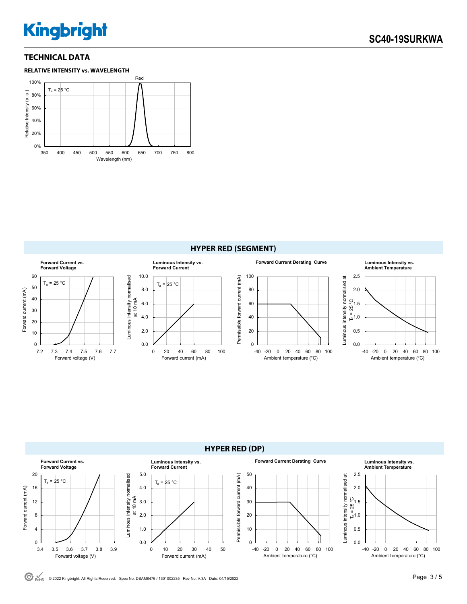## **TECHNICAL DATA**







 $\odot$  RoHS © 2022 Kingbright. All Rights Reserved. Spec No: DSAM8476 / 1301002235 Rev No: V.3A Date: 04/15/2022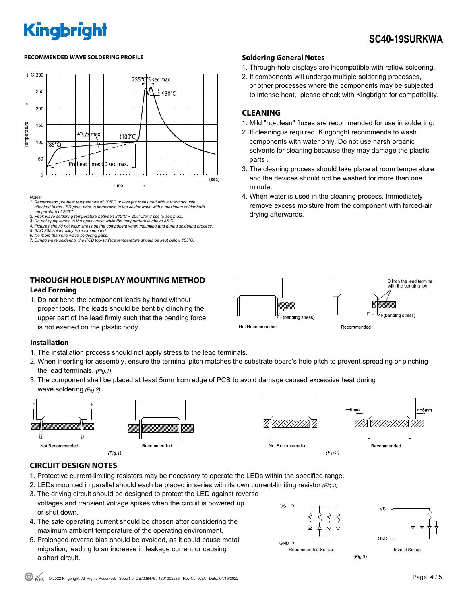#### **RECOMMENDED WAVE SOLDERING PROFILE Soldering General Notes**



*Notes:* 

- *1. Recommend pre-heat temperature of 105°C or less (as measured with a thermocouple attached to the LED pins) prior to immersion in the solder wave with a maximum solder bath temperature of 260°C*
- *2. Peak wave soldering temperature between 245°C ~ 255°Cfor 3 sec (5 sec max).*
- 2. Pour wave columns component concretive to the concretion of the temperature is above 85°C. The properature is above 85°C. **By 85°C.** The epoxy resin while the temperature is above
- *4. Fixtures should not incur stress on the component when mounting and during soldering process. 5. SAC 305 solder alloy is recommended.*
- 
- *6. No more than one wave soldering pass. 7. During wave soldering, the PCB top-surface temperature should be kept below 105°C.*

### **THROUGH HOLE DISPLAY MOUNTING METHOD Lead Forming**

1. Do not bend the component leads by hand without proper tools. The leads should be bent by clinching the upper part of the lead firmly such that the bending force is not exerted on the plastic body.

- 1. Through-hole displays are incompatible with reflow soldering.
- 2. If components will undergo multiple soldering processes, or other processes where the components may be subjected to intense heat, please check with Kingbright for compatibility.

### **CLEANING**

- 1. Mild "no-clean" fluxes are recommended for use in soldering.
- 2. If cleaning is required, Kingbright recommends to wash components with water only. Do not use harsh organic solvents for cleaning because they may damage the plastic parts .
- 3. The cleaning process should take place at room temperature and the devices should not be washed for more than one minute.
- 4. When water is used in the cleaning process, Immediately remove excess moisture from the component with forced-air drying afterwards.



### **Installation**

- 1. The installation process should not apply stress to the lead terminals.
- 2. When inserting for assembly, ensure the terminal pitch matches the substrate board's hole pitch to prevent spreading or pinching the lead terminals. *(Fig.1)*
- 3. The component shall be placed at least 5mm from edge of PCB to avoid damage caused excessive heat during wave soldering.*(Fig.2)*







## **CIRCUIT DESIGN NOTES**

- 1. Protective current-limiting resistors may be necessary to operate the LEDs within the specified range.
- 2. LEDs mounted in parallel should each be placed in series with its own current-limiting resistor*.(Fig.3)*
- 3. The driving circuit should be designed to protect the LED against reverse voltages and transient voltage spikes when the circuit is powered up or shut down.
- 4. The safe operating current should be chosen after considering the maximum ambient temperature of the operating environment.
- 5. Prolonged reverse bias should be avoided, as it could cause metal migration, leading to an increase in leakage current or causing a short circuit.



Recommended Set-up



 $(Fig.3)$